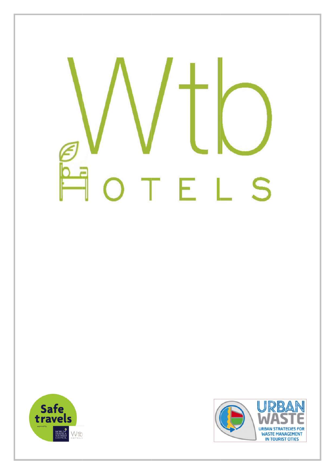# S TEL



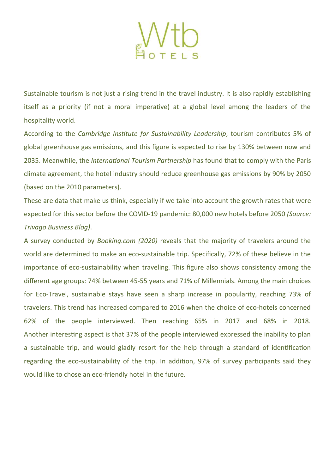

Sustainable tourism is not just a rising trend in the travel industry. It is also rapidly establishing itself as a priority (if not a moral imperative) at a global level among the leaders of the hospitality world.

According to the Cambridge Institute for Sustainability Leadership, tourism contributes 5% of global greenhouse gas emissions, and this figure is expected to rise by 130% between now and 2035. Meanwhile, the *International Tourism Partnership* has found that to comply with the Paris climate agreement, the hotel industry should reduce greenhouse gas emissions by 90% by 2050 (based on the 2010 parameters).

These are data that make us think, especially if we take into account the growth rates that were expected for this sector before the COVID-19 pandemic: 80,000 new hotels before 2050 (Source: Trivago Business Blog).

A survey conducted by Booking.com (2020) reveals that the majority of travelers around the world are determined to make an eco-sustainable trip. Specifically, 72% of these believe in the importance of eco-sustainability when traveling. This figure also shows consistency among the different age groups: 74% between 45-55 years and 71% of Millennials. Among the main choices for Eco-Travel, sustainable stays have seen a sharp increase in popularity, reaching 73% of travelers. This trend has increased compared to 2016 when the choice of eco-hotels concerned 62% of the people interviewed. Then reaching 65% in 2017 and 68% in 2018. Another interesting aspect is that 37% of the people interviewed expressed the inability to plan a sustainable trip, and would gladly resort for the help through a standard of identification regarding the eco-sustainability of the trip. In addition, 97% of survey participants said they would like to chose an eco-friendly hotel in the future.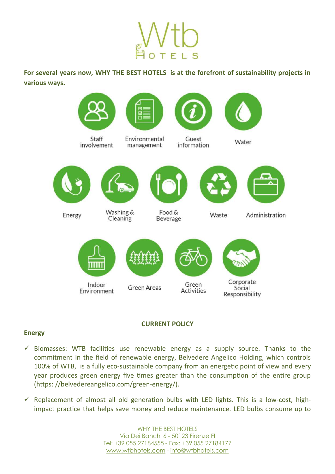For several years now, WHY THE BEST HOTELS is at the forefront of sustainability projects in various ways.



# CURRENT POLICY

# Energy

- $\checkmark$  Biomasses: WTB facilities use renewable energy as a supply source. Thanks to the commitment in the field of renewable energy, Belvedere Angelico Holding, which controls 100% of WTB, is a fully eco-sustainable company from an energetic point of view and every year produces green energy five times greater than the consumption of the entire group (https://belvedereangelico.com/green-energy/).
- $\checkmark$  Replacement of almost all old generation bulbs with LED lights. This is a low-cost, highimpact practice that helps save money and reduce maintenance. LED bulbs consume up to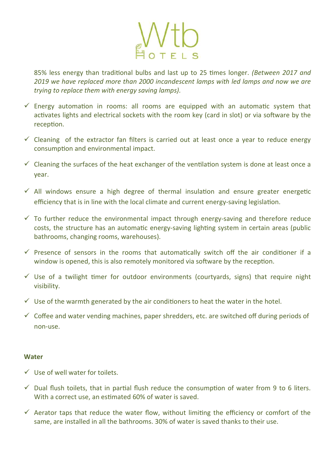

85% less energy than traditional bulbs and last up to 25 times longer. (Between 2017 and 2019 we have replaced more than 2000 incandescent lamps with led lamps and now we are trying to replace them with energy saving lamps).

- $\checkmark$  Energy automation in rooms: all rooms are equipped with an automatic system that activates lights and electrical sockets with the room key (card in slot) or via software by the reception.
- $\checkmark$  Cleaning of the extractor fan filters is carried out at least once a year to reduce energy consumption and environmental impact.
- $\checkmark$  Cleaning the surfaces of the heat exchanger of the ventilation system is done at least once a year.
- $\checkmark$  All windows ensure a high degree of thermal insulation and ensure greater energetic efficiency that is in line with the local climate and current energy-saving legislation.
- $\checkmark$  To further reduce the environmental impact through energy-saving and therefore reduce costs, the structure has an automatic energy-saving lighting system in certain areas (public bathrooms, changing rooms, warehouses).
- $\checkmark$  Presence of sensors in the rooms that automatically switch off the air conditioner if a window is opened, this is also remotely monitored via software by the reception.
- $\checkmark$  Use of a twilight timer for outdoor environments (courtyards, signs) that require night visibility.
- $\checkmark$  Use of the warmth generated by the air conditioners to heat the water in the hotel.
- $\checkmark$  Coffee and water vending machines, paper shredders, etc. are switched off during periods of non-use.

#### **Water**

- $\checkmark$  Use of well water for toilets.
- $\checkmark$  Dual flush toilets, that in partial flush reduce the consumption of water from 9 to 6 liters. With a correct use, an estimated 60% of water is saved.
- $\checkmark$  Aerator taps that reduce the water flow, without limiting the efficiency or comfort of the same, are installed in all the bathrooms. 30% of water is saved thanks to their use.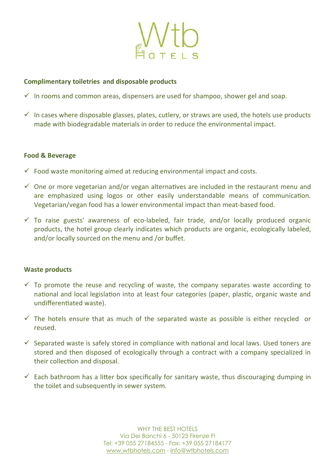

# Complimentary toiletries and disposable products

- $\checkmark$  In rooms and common areas, dispensers are used for shampoo, shower gel and soap.
- $\checkmark$  In cases where disposable glasses, plates, cutlery, or straws are used, the hotels use products made with biodegradable materials in order to reduce the environmental impact.

# Food & Beverage

- $\checkmark$  Food waste monitoring aimed at reducing environmental impact and costs.
- $\checkmark$  One or more vegetarian and/or vegan alternatives are included in the restaurant menu and are emphasized using logos or other easily understandable means of communication. Vegetarian/vegan food has a lower environmental impact than meat-based food.
- $\checkmark$  To raise guests' awareness of eco-labeled, fair trade, and/or locally produced organic products, the hotel group clearly indicates which products are organic, ecologically labeled, and/or locally sourced on the menu and /or buffet.

# Waste products

- $\checkmark$  To promote the reuse and recycling of waste, the company separates waste according to national and local legislation into at least four categories (paper, plastic, organic waste and undifferentiated waste).
- $\checkmark$  The hotels ensure that as much of the separated waste as possible is either recycled or reused.
- $\checkmark$  Separated waste is safely stored in compliance with national and local laws. Used toners are stored and then disposed of ecologically through a contract with a company specialized in their collection and disposal.
- $\checkmark$  Each bathroom has a litter box specifically for sanitary waste, thus discouraging dumping in the toilet and subsequently in sewer system.

WHY THE BEST HOTELS Via Dei Banchi 6 - 50123 Firenze FI Tel: +39 055 27184555 - Fax: +39 055 27184177 www.wtbhotels.com - info@wtbhotels.com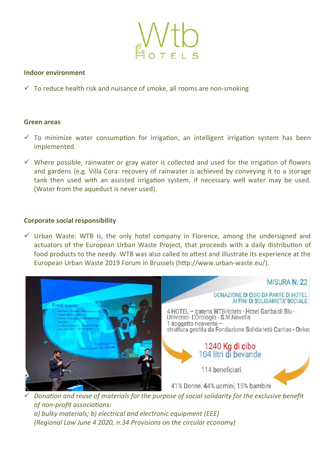

# Indoor environment

 $\checkmark$  To reduce health risk and nuisance of smoke, all rooms are non-smoking

### Green areas

- $\checkmark$  To minimize water consumption for irrigation, an intelligent irrigation system has been implemented.
- $\checkmark$  Where possible, rainwater or gray water is collected and used for the irrigation of flowers and gardens (e.g. Villa Cora: recovery of rainwater is achieved by conveying it to a storage tank then used with an assisted irrigation system, if necessary well water may be used. (Water from the aqueduct is never used).

# Corporate social responsibility

 $\checkmark$  Urban Waste: WTB is, the only hotel company in Florence, among the undersigned and actuators of the European Urban Waste Project, that proceeds with a daily distribution of food products to the needy. WTB was also called to attest and illustrate its experience at the European Urban Waste 2019 Forum in Brussels (http://www.urban-waste.eu/).



Donation and reuse of materials for the purpose of social solidarity for the exclusive benefit of non-profit associations: a) bulky materials; b) electrical and electronic equipment (EEE) (Regional Law June 4 2020, n.34 Provisions on the circular economy)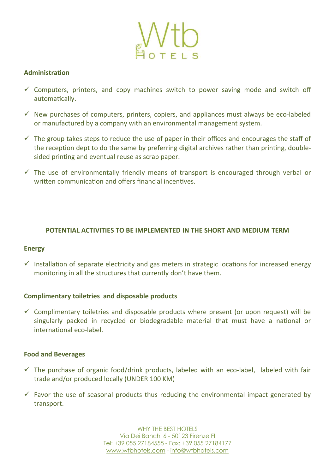

# **Administration**

- $\checkmark$  Computers, printers, and copy machines switch to power saving mode and switch off automatically.
- $\checkmark$  New purchases of computers, printers, copiers, and appliances must always be eco-labeled or manufactured by a company with an environmental management system.
- $\checkmark$  The group takes steps to reduce the use of paper in their offices and encourages the staff of the reception dept to do the same by preferring digital archives rather than printing, doublesided printing and eventual reuse as scrap paper.
- $\checkmark$  The use of environmentally friendly means of transport is encouraged through verbal or written communication and offers financial incentives.

# POTENTIAL ACTIVITIES TO BE IMPLEMENTED IN THE SHORT AND MEDIUM TERM

#### Energy

 $\checkmark$  Installation of separate electricity and gas meters in strategic locations for increased energy monitoring in all the structures that currently don't have them.

# Complimentary toiletries and disposable products

 $\checkmark$  Complimentary toiletries and disposable products where present (or upon request) will be singularly packed in recycled or biodegradable material that must have a national or international eco-label.

#### Food and Beverages

- $\checkmark$  The purchase of organic food/drink products, labeled with an eco-label, labeled with fair trade and/or produced locally (UNDER 100 KM)
- $\checkmark$  Favor the use of seasonal products thus reducing the environmental impact generated by transport.

WHY THE BEST HOTELS Via Dei Banchi 6 - 50123 Firenze FI Tel: +39 055 27184555 - Fax: +39 055 27184177 www.wtbhotels.com - info@wtbhotels.com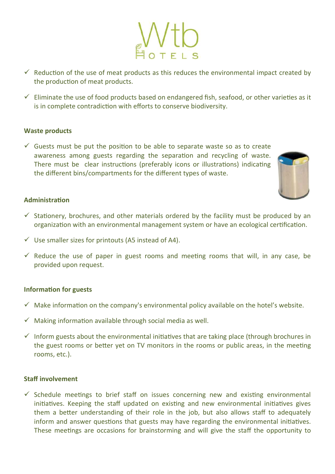- $\checkmark$  Reduction of the use of meat products as this reduces the environmental impact created by the production of meat products.
- $\checkmark$  Eliminate the use of food products based on endangered fish, seafood, or other varieties as it is in complete contradiction with efforts to conserve biodiversity.

# Waste products

 $\checkmark$  Guests must be put the position to be able to separate waste so as to create awareness among guests regarding the separation and recycling of waste. There must be clear instructions (preferably icons or illustrations) indicating the different bins/compartments for the different types of waste.



### **Administration**

- $\checkmark$  Stationery, brochures, and other materials ordered by the facility must be produced by an organization with an environmental management system or have an ecological certification.
- $\checkmark$  Use smaller sizes for printouts (A5 instead of A4).
- $\checkmark$  Reduce the use of paper in guest rooms and meeting rooms that will, in any case, be provided upon request.

#### Information for guests

- $\checkmark$  Make information on the company's environmental policy available on the hotel's website.
- $\checkmark$  Making information available through social media as well.
- $\checkmark$  Inform guests about the environmental initiatives that are taking place (through brochures in the guest rooms or better yet on TV monitors in the rooms or public areas, in the meeting rooms, etc.).

#### Staff involvement

 $\checkmark$  Schedule meetings to brief staff on issues concerning new and existing environmental initiatives. Keeping the staff updated on existing and new environmental initiatives gives them a better understanding of their role in the job, but also allows staff to adequately inform and answer questions that guests may have regarding the environmental initiatives. These meetings are occasions for brainstorming and will give the staff the opportunity to

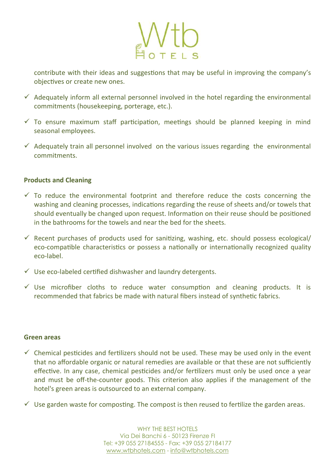

contribute with their ideas and suggestions that may be useful in improving the company's objectives or create new ones.

- $\checkmark$  Adequately inform all external personnel involved in the hotel regarding the environmental commitments (housekeeping, porterage, etc.).
- $\checkmark$  To ensure maximum staff participation, meetings should be planned keeping in mind seasonal employees.
- $\checkmark$  Adequately train all personnel involved on the various issues regarding the environmental commitments.

# Products and Cleaning

- $\checkmark$  To reduce the environmental footprint and therefore reduce the costs concerning the washing and cleaning processes, indications regarding the reuse of sheets and/or towels that should eventually be changed upon request. Information on their reuse should be positioned in the bathrooms for the towels and near the bed for the sheets.
- $\checkmark$  Recent purchases of products used for sanitizing, washing, etc. should possess ecological/ eco-compatible characteristics or possess a nationally or internationally recognized quality eco-label.
- $\checkmark$  Use eco-labeled certified dishwasher and laundry detergents.
- $\checkmark$  Use microfiber cloths to reduce water consumption and cleaning products. It is recommended that fabrics be made with natural fibers instead of synthetic fabrics.

#### Green areas

- $\checkmark$  Chemical pesticides and fertilizers should not be used. These may be used only in the event that no affordable organic or natural remedies are available or that these are not sufficiently effective. In any case, chemical pesticides and/or fertilizers must only be used once a year and must be off-the-counter goods. This criterion also applies if the management of the hotel's green areas is outsourced to an external company.
- $\checkmark$  Use garden waste for composting. The compost is then reused to fertilize the garden areas.